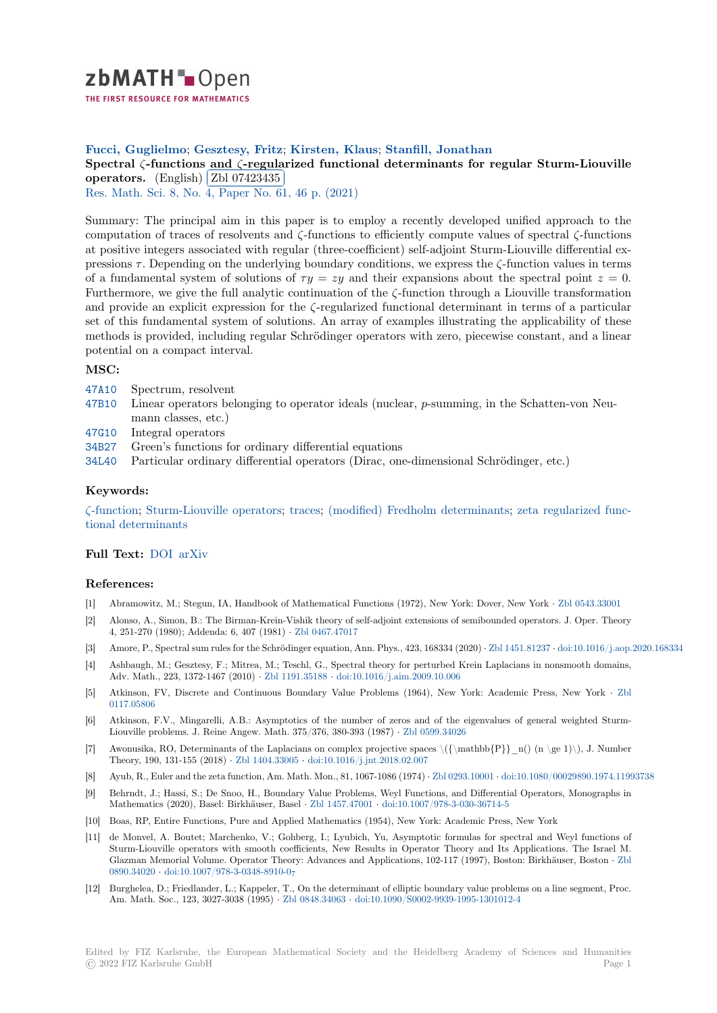zbMATH-Open

THE FIRST RESOURCE FOR MATHEMATICS

## **Fucci, Guglielmo**; **Gesztesy, Fritz**; **Kirsten, Klaus**; **Stanfill, Jonathan**

# **[S](https://zbmath.org/)pectral** *ζ***-functions and** *ζ***-regularized functional determinants for regular Sturm-Liouville operators.** (English) **Zbl** 07423435

Res. Math. Sci. 8, No. 4, Paper No. 61, 46 p. (2021)

[Summary: The principal aim in this paper is to employ a recently developed unified approach to the](https://zbmath.org/07423435) [computation](https://zbmath.org/07423435) of traces [of resolvents and](https://zbmath.org/07423435) *ζ*-functions to efficiently compute values of spectral *ζ*-functions [at positive integ](https://zbmath.org/journals/?q=se:8474)[ers associated with regular \(three-co](https://zbmath.org/?q=in:470818)efficient) self-adjoint Sturm-Liouville differential expressions *τ* . Depending on the underlying boundary conditions, we express the *ζ*-function values in terms of a fundamental system of solutions of  $\tau y = zy$  and their expansions about the spectral point  $z = 0$ . Furthermore, we give the full analytic continuation of the *ζ*-function through a Liouville transformation and provide an explicit expression for the *ζ*-regularized functional determinant in terms of a particular set of this fundamental system of solutions. An array of examples illustrating the applicability of these methods is provided, including regular Schrödinger operators with zero, piecewise constant, and a linear potential on a compact interval.

## **MSC:**

- 47A10 Spectrum, resolvent
- 47B10 Linear operators belonging to operator ideals (nuclear, *p*-summing, in the Schatten-von Neumann classes, etc.)
- 47G10 Integral operators
- [34B27](https://zbmath.org/classification/?q=cc:47A10) Green's functions for ordinary differential equations
- [34L40](https://zbmath.org/classification/?q=cc:47B10) Particular ordinary differential operators (Dirac, one-dimensional Schrödinger, etc.)

### **[Keyw](https://zbmath.org/classification/?q=cc:47G10)ords:**

*ζ*[-func](https://zbmath.org/classification/?q=cc:34B27)tion; Sturm-Liouville operators; traces; (modified) Fredholm determinants; zeta regularized func[tional](https://zbmath.org/classification/?q=cc:34L40) determinants

### **Full Text:** DOI arXiv

#### **[References:](https://zbmath.org/?q=ut:zeta+regularized+functional+determinants)**

- [1] Abramowitz, M.; Stegun, IA, Handbook of Mathematical Functions (1972), New York: Dover, New York *·* Zbl 0543.33001
- [2] Alonso, [A., Sim](https://dx.doi.org/10.1007/s40687-021-00289-w)[on, B.: T](https://arxiv.org/abs/2101.12295)he Birman-Krein-Vishik theory of self-adjoint extensions of semibounded operators. J. Oper. Theory 4, 251-270 (1980); Addenda: 6, 407 (1981) *·* Zbl 0467.47017
- [3] Amore, P., Spectral sum rules for the Schrödinger equation, Ann. Phys., 423, 168334 (2020) *·* Zbl 1451.81237 *·* doi:10.1016/j.aop.2020.168334
- [4] Ashbaugh, M.; Gesztesy, F.; Mitrea, M.; Teschl, G., Spectral theory for perturbed Krein Laplacians in no[nsmooth domain](https://zbmath.org/0543.33001)s, Adv. Math., 223, 1372-1467 (2010) *·* Zbl 1191.35188 *·* doi:10.1016/j.aim.2009.10.006
- [5] Atkinson, FV, Discrete and Continuous B[oundary Value](https://zbmath.org/0467.47017) Problems (1964), New York: Academic Press, New York *·* Zbl 0117.05806
- [6] Atkinson, F.V., Mingarelli, A.B.: Asymptotics of the number of zeros and of the eigenvalues of general weighted Sturm-Liouville problems. J. Reine Angew. [Math. 375/376,](https://zbmath.org/1191.35188) 380-393 (1987) *·* [Zbl 0599.3402](https://dx.doi.org/10.1016/j.aim.2009.10.006)6
- [7] Awonusika, RO, Determinants of the Laplacians on complex projective spaces \({\mathbb{P}}\_n() (n \ge 1)\), J. Nu[mber](https://zbmath.org/0117.05806) [Theory, 190](https://zbmath.org/0117.05806), 131-155 (2018) *·* Zbl 1404.33005 *·* doi:10.1016/j.jnt.2018.02.007
- [8] Ayub, R., Euler and the zeta function, Am. Math. Mon., 81, 1067-1086 (1974) *·* Zbl 0293.10001 *·* doi:10.1080/00029890.1974.11993738
- [9] Behrndt, J.; Hassi, S.; De Snoo, H., Boundary Value Problems, Weyl [Functions, and](https://zbmath.org/0599.34026) Differential Operators, Monographs in Mathematics (2020), Basel: Birkhäuser, Basel *·* Zbl 1457.47001 *·* doi:10.1007/978-3-030-36714-5
- [10] Boas, RP, Entire Functions, [Pure and Applie](https://zbmath.org/1404.33005)d [Mathematics \(1954\), New Yo](https://dx.doi.org/10.1016/j.jnt.2018.02.007)rk: Academic Press, New York
- [11] de Monvel, A. Boutet; Marchenko, V.; Gohberg, I.; Lyubich, Yu, Asympto[tic formulas for](https://zbmath.org/0293.10001) [spectral and Weyl functions of](https://dx.doi.org/10.1080/00029890.1974.11993738) Sturm-Liouville operators with smooth coefficients, New Results in Operator Theory and Its Applications. The Israel M. Glazman Memorial Volume. Operator Theory: [Advances and A](https://zbmath.org/1457.47001)p[plications, 102-117 \(1997\), Bost](https://dx.doi.org/10.1007/978-3-030-36714-5)on: Birkhäuser, Boston *·* Zbl 0890.34020 *·* doi:10.1007/978-3-0348-8910-0<sup>7</sup>
- [12] Burghelea, D.; Friedlander, L.; Kappeler, T., On the determinant of elliptic boundary value problems on a line segment, Proc. Am. Math. Soc., 123, 3027-3038 (1995) *·* Zbl 0848.34063 *·* doi:10.1090/S0002-9939-1995-1301012-4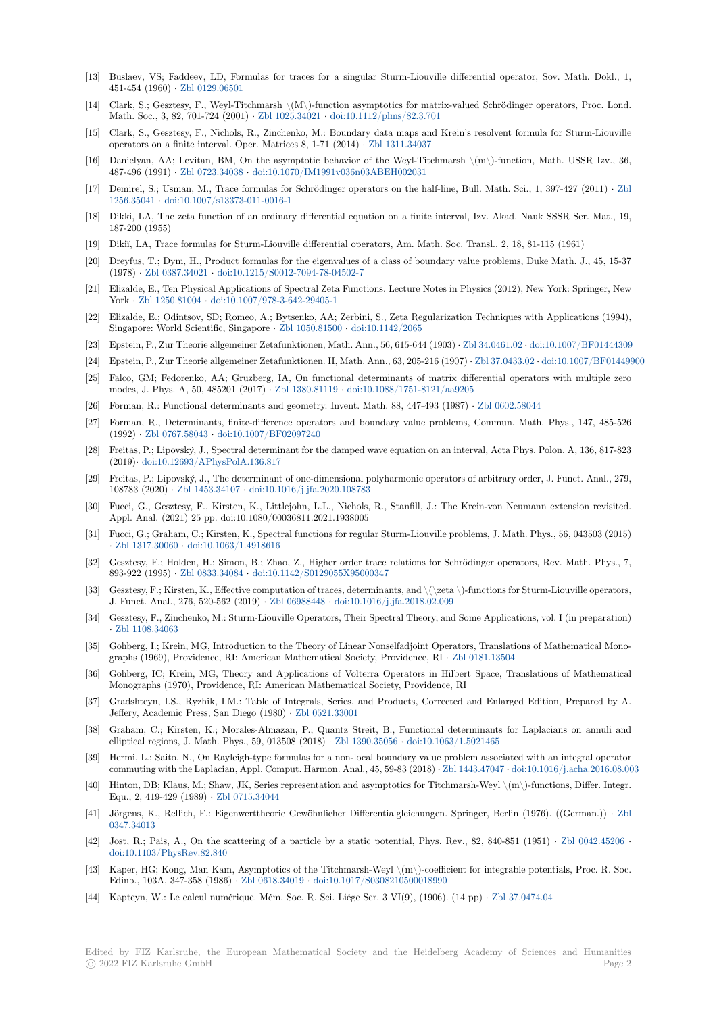- [13] Buslaev, VS; Faddeev, LD, Formulas for traces for a singular Sturm-Liouville differential operator, Sov. Math. Dokl., 1, 451-454 (1960) *·* Zbl 0129.06501
- [14] Clark, S.; Gesztesy, F., Weyl-Titchmarsh \(M\)-function asymptotics for matrix-valued Schrödinger operators, Proc. Lond. Math. Soc., 3, 82, 701-724 (2001) *·* Zbl 1025.34021 *·* doi:10.1112/plms/82.3.701
- [15] Clark, S., Gesztesy, F., Nichols, R., Zinchenko, M.: Boundary data maps and Krein's resolvent formula for Sturm-Liouville operators on a fi[nite interval. Op](https://zbmath.org/0129.06501)er. Matrices 8, 1-71 (2014) *·* Zbl 1311.34037
- [16] Danielyan, AA; Levitan, BM, On the asymptotic behavior of the Weyl-Titchmarsh \(m\)-function, Math. USSR Izv., 36, 487-496 (1991) *·* Zbl 0723.34038 *·* [doi:10.1070/IM19](https://zbmath.org/1025.34021)[91v036n03ABEH002031](https://dx.doi.org/10.1112/plms/82.3.701)
- [17] Demirel, S.; Usman, M., Trace formulas for Schrödinger operators on the half-line, Bull. Math. Sci., 1, 397-427 (2011) *·* Zbl 1256.35041 *·* doi:10.1007/s13373-011-0016-1
- [18] Dikki, LA, The zeta function of an ordinary differential equation on a finite interval, Izv. Akad. Nauk SSSR Ser. Mat., 19, 187-200 (1955)
- [19] Dikiĭ, LA, Trace formulas for Sturm-Liouville differential operators, Am. Math. Soc. Transl., 2, 18, 81-115 (1961)
- [20] [Dreyfus, T.](https://zbmath.org/1256.35041); [Dym, H., Product formulas for](https://dx.doi.org/10.1007/s13373-011-0016-1) the eigenvalues of a class of boundary value problems, Duke Math. J., 45, 15-37 (1978) *·* Zbl 0387.34021 *·* doi:10.1215/S0012-7094-78-04502-7
- [21] Elizalde, E., Ten Physical Applications of Spectral Zeta Functions. Lecture Notes in Physics (2012), New York: Springer, New York *·* Zbl 1250.81004 *·* doi:10.1007/978-3-642-29405-1
- [22] Elizalde, E.; Odintsov, SD; Romeo, A.; Bytsenko, AA; Zerbini, S., Zeta Regularization Techniques with Applications (1994), Singapo[re: World Scient](https://zbmath.org/0387.34021)ific, Singapore *·* [Zbl 1050.81500](https://dx.doi.org/10.1215/S0012-7094-78-04502-7) *·* doi:10.1142/2065
- [23] Epstein, P., Zur Theorie allgemeiner Zetafunktionen, Math. Ann., 56, 615-644 (1903) *·* Zbl 34.0461.02 *·* doi:10.1007/BF01444309
- [24] Epstei[n, P., Zur Theori](https://zbmath.org/1250.81004)e [allgemeiner Zetafunktionen. II,](https://dx.doi.org/10.1007/978-3-642-29405-1) Math. Ann., 63, 205-216 (1907) *·* Zbl 37.0433.02 *·* doi:10.1007/BF01449900
- [25] Falco, GM; Fedorenko, AA; Gruzberg, IA, On functional determinants of matrix differential operators with multiple zero modes, J. Phys. A, 50, 485201 (2017) *·* [Zbl 1380.81119](https://zbmath.org/1050.81500) *·* [doi:10.1088/1751-8](https://dx.doi.org/10.1142/2065)121/aa9205
- [26] Forman, R.: Functional determinants and geometry. Invent. Math. 88, 447-493 (1987) *·* [Zbl 0602.58](https://zbmath.org/34.0461.02)[044](https://dx.doi.org/10.1007/BF01444309)
- [27] Forman, R., Determinants, finite-difference operators and boundary value problems, [Commun. Mat](https://zbmath.org/37.0433.02)h[. Phys., 147, 485-526](https://dx.doi.org/10.1007/BF01449900) (1992) *·* Zbl 0767.58043 *·* doi:10.1007/BF02097240
- [28] Freitas, P.; Lipovský, J., Spectral deter[minant for the da](https://zbmath.org/1380.81119)[mped wave equation on an interv](https://dx.doi.org/10.1088/1751-8121/aa9205)al, Acta Phys. Polon. A, 136, 817-823 (2019)*·* doi:10.12693/APhysPolA.136.817
- [29] Freitas, P.; Lipovský, J., The determinant of one-dimensional polyharmonic operators of arbitrary order, J. Funct. Anal., 279, 108783 (2020) *·* [Zbl 145](https://zbmath.org/0767.58043)3.34107 *·* [doi:10.1016/j.jfa.2](https://dx.doi.org/10.1007/BF02097240)020.108783
- [30] Fucci, G., Gesztesy, F., Kirsten, K., Littlejohn, L.L., Nichols, R., Stanfill, J.: The Krein-von Neumann extension revisited. Appl. [Anal. \(2021\) 25 pp. doi:10.1080/00](https://dx.doi.org/10.12693/APhysPolA.136.817)036811.2021.1938005
- [31] Fucci, G.; Graham, C.; Kirsten, K., Spectral functions for regular Sturm-Liouville problems, J. Math. Phys., 56, 043503 (2015) *·* Zbl 1317.30060 *·* [doi:10.1063/1](https://zbmath.org/1453.34107).[4918616](https://dx.doi.org/10.1016/j.jfa.2020.108783)
- [32] Gesztesy, F.; Holden, H.; Simon, B.; Zhao, Z., Higher order trace relations for Schrödinger operators, Rev. Math. Phys., 7, 893-922 (1995) *·* Zbl 0833.34084 *·* doi:10.1142/S0129055X95000347
- [33] Gesztesy, F.; Kirsten, K., Effective computation of traces, determinants, and \(\zeta \)-functions for Sturm-Liouville operators, J[. Funct. Anal.,](https://zbmath.org/1317.30060) 2[76, 520-562 \(2019\)](https://dx.doi.org/10.1063/1.4918616) *·* Zbl 06988448 *·* doi:10.1016/j.jfa.2018.02.009
- [34] Gesztesy, F., Zinchenko, M.: Sturm-Liouville Operators, Their Spectral Theory, and Some Applications, vol. I (in preparation) *·* Zbl 1108.34063
- [35] Gohberg, I.; Krein, MG, Introduction to the Theory of Linear Nonselfadjoint Operators, Translations of Mathematical Monographs (1969), Providence, RI: Ameri[can Mathemat](https://zbmath.org/06988448)i[cal Society, Providence, RI](https://dx.doi.org/10.1016/j.jfa.2018.02.009) *·* Zbl 0181.13504
- [36] Gohberg, IC; Krein, MG, Theory and Applications of Volterra Operators in Hilbert Space, Translations of Mathematical [Monographs \(197](https://zbmath.org/1108.34063)0), Providence, RI: American Mathematical Society, Providence, RI
- [37] Gradshteyn, I.S., Ryzhik, I.M.: Table of Integrals, Series, and Products, Corrected and Enlarged Edition, Prepared by A. Jeffery, Academic Press, San Diego (1980) *·* Zbl 0521.33001
- [38] Graham, C.; Kirsten, K.; Morales-Almazan, P.; Quantz Streit, B., Functional determinants for Laplacians on annuli and elliptical regions, J. Math. Phys., 59, 013508 (2018) *·* Zbl 1390.35056 *·* doi:10.1063/1.5021465
- [39] Hermi, L.; Saito, N., On Rayleigh-type formulas for a non-local boundary value problem associated with an integral operator commuting with the Laplacian, Appl. Comp[ut. Harmon. Ana](https://zbmath.org/0521.33001)l., 45, 59-83 (2018) *·* Zbl 1443.47047 *·* doi:10.1016/j.acha.2016.08.003
- [40] Hinton, DB; Klaus, M.; Shaw, JK, Series representation and asymptotics for Titchmarsh-Weyl \(m\)-functions, Differ. Integr. Equ., 2, 419-429 (1989) *·* Zbl 0715.34044
- [41] Jörgens, K., Rellich, F.: Eigenwerttheorie Gewöhnlicher Differentialgleichungen. Springer, Berlin (1976). ((German.)) *·* Zbl 0347.34013
- [42] Jost, R.; Pais, A., On the scattering of a particle by a static potential, Phys. Rev., 82, 840-851 (1951) *·* Zbl 0042.45206 *·* doi:10.1103/PhysRev.82.[840](https://zbmath.org/0715.34044)
- [43] Kaper, HG; Kong, Man Kam, Asymptotics of the Titchmarsh-Weyl \(m\)-coefficient for integrable potentials, Proc. R. [Soc.](https://zbmath.org/0347.34013) [Edinb., 103](https://zbmath.org/0347.34013)A, 347-358 (1986) *·* Zbl 0618.34019 *·* doi:10.1017/S0308210500018990
- [44] Kapteyn, W.: Le calcul numérique. Mém. Soc. R. Sci. Liége Ser. 3 VI(9), (1906). (14 pp) *·* Zbl 37.0474.04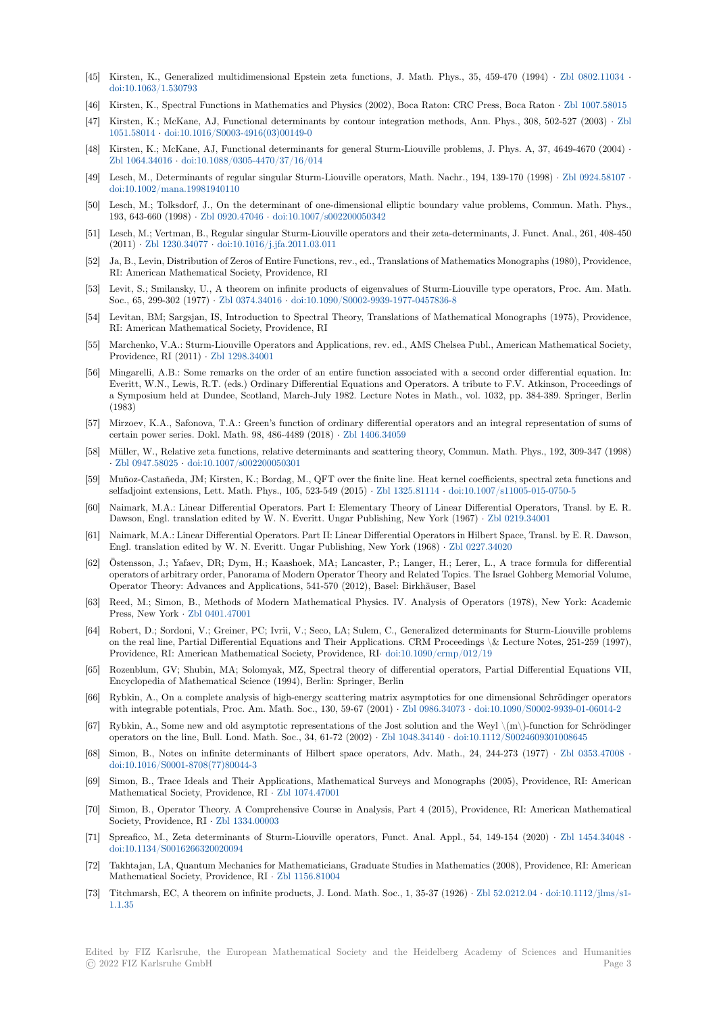- [45] Kirsten, K., Generalized multidimensional Epstein zeta functions, J. Math. Phys., 35, 459-470 (1994) *·* Zbl 0802.11034 *·* doi:10.1063/1.530793
- [46] Kirsten, K., Spectral Functions in Mathematics and Physics (2002), Boca Raton: CRC Press, Boca Raton *·* Zbl 1007.58015
- [47] Kirsten, K.; McKane, AJ, Functional determinants by contour integration methods, Ann. Phys., 308, 502-527 (2003) *·* Zbl 1051.58014 *·* doi:10.1016/S0003-4916(03)00149-0
- [48] [Kirsten, K.; McKane,](https://dx.doi.org/10.1063/1.530793) AJ, Functional determinants for general Sturm-Liouville problems, J. Phys. A, 37, 4649-4670 (2004) *·* Zbl 1064.34016 *·* doi:10.1088/0305-4470/37/16/014
- [49] Lesch, M., Determinants of regular singular Sturm-Liouville operators, Math. Nachr., 194, 139-170 (1998) *·* Zbl 0924.581[07](https://zbmath.org/1051.58014) *·* [doi:10.1002](https://zbmath.org/1051.58014)/[mana.19981940110](https://dx.doi.org/10.1016/S0003-4916(03)00149-0)
- [50] Lesch, M.; Tolksdorf, J., On the determinant of one-dimensional elliptic boundary value problems, Commun. Math. Phys., [193, 643-660 \(1](https://zbmath.org/1064.34016)998) *·* [Zbl 0920.47046](https://dx.doi.org/10.1088/0305-4470/37/16/014) *·* doi:10.1007/s002200050342
- [51] Lesch, M.; Vertman, B., Regular singular Sturm-Liouville operators and their zeta-determinants, J. Funct. A[nal., 261, 408-45](https://zbmath.org/0924.58107)0 (2011) *·* [Zbl 1230.34077](https://dx.doi.org/10.1002/mana.19981940110) *·* doi:10.1016/j.jfa.2011.03.011
- [52] Ja, B., Levin, Distribution of Zeros of Entire Functions, rev., ed., Translations of Mathematics Monographs (1980), Providence, RI: American Mathe[matical Society,](https://zbmath.org/0920.47046) P[rovidence, RI](https://dx.doi.org/10.1007/s002200050342)
- [53] Levit, S.; Smilansky, U., A theorem on infinite products of eigenvalues of Sturm-Liouville type operators, Proc. Am. Math. Soc., 65, [299-302 \(1977\)](https://zbmath.org/1230.34077) *·* [Zbl 0374.34016](https://dx.doi.org/10.1016/j.jfa.2011.03.011) *·* doi:10.1090/S0002-9939-1977-0457836-8
- [54] Levitan, BM; Sargsjan, IS, Introduction to Spectral Theory, Translations of Mathematical Monographs (1975), Providence, RI: American Mathematical Society, Providence, RI
- [55] Marchenko, V.A.: Sturm-Liouville Operators and Applications, rev. ed., AMS Chelsea Publ., American Mathematical Society, Providence, RI (2011) *·* Z[bl 1298.34001](https://zbmath.org/0374.34016)
- [56] Mingarelli, A.B.: Some remarks on the order of an entire function associated with a second order differential equation. In: Everitt, W.N., Lewis, R.T. (eds.) Ordinary Differential Equations and Operators. A tribute to F.V. Atkinson, Proceedings of a Symposium held at Dundee, Scotland, March-July 1982. Lecture Notes in Math., vol. 1032, pp. 384-389. Springer, Berlin (1983)
- [57] Mirzoev, K.A., Safonov[a, T.A.: Green's](https://zbmath.org/1298.34001) function of ordinary differential operators and an integral representation of sums of certain power series. Dokl. Math. 98, 486-4489 (2018) *·* Zbl 1406.34059
- [58] Müller, W., Relative zeta functions, relative determinants and scattering theory, Commun. Math. Phys., 192, 309-347 (1998) *·* Zbl 0947.58025 *·* doi:10.1007/s002200050301
- [59] Muñoz-Castañeda, JM; Kirsten, K.; Bordag, M., QFT over the finite line. Heat kernel coefficients, spectral zeta functions and selfadjoint extensions, Lett. Math. Phys., 105, 523-549 (2015) *·* [Zbl 132](https://zbmath.org/1406.34059)5.81114 *·* doi:10.1007/s11005-015-0750-5
- [60] Naimark, M.A.: Linear Differential Operators. Part I: Elementary Theory of Linear Differential Operators, Transl. by E. R. [Dawson, Engl. tr](https://zbmath.org/0947.58025)a[nslation edited by W. N. Ev](https://dx.doi.org/10.1007/s002200050301)eritt. Ungar Publishing, New York (1967) *·* Zbl 0219.34001
- [61] Naimark, M.A.: Linear Differential Operators. Part II: Linear Differential Operators in Hilbert Space, Transl. by E. R. Dawson, Engl. translation edited by W. N. Everitt. Ungar Publishing, N[ew York \(1968\)](https://zbmath.org/1325.81114) *·* [Zbl 0227.34020](https://dx.doi.org/10.1007/s11005-015-0750-5)
- [62] Östensson, J.; Yafaev, DR; Dym, H.; Kaashoek, MA; Lancaster, P.; Langer, H.; Lerer, L., A trace formula for differential operators of arbitrary order, Panorama of Modern Operator Theory and Related Topics. Th[e Israel Gohberg](https://zbmath.org/0219.34001) Memorial Volume, Operator Theory: Advances and Applications, 541-570 (2012), Basel: Birkhäuser, Basel
- [63] Reed, M.; Simon, B., Methods of Modern Mathematical Physics. IV. Analysis [of Operators \(](https://zbmath.org/0227.34020)1978), New York: Academic Press, New York *·* Zbl 0401.47001
- [64] Robert, D.; Sordoni, V.; Greiner, PC; Ivrii, V.; Seco, LA; Sulem, C., Generalized determinants for Sturm-Liouville problems on the real line, Partial Differential Equations and Their Applications. CRM Proceedings \& Lecture Notes, 251-259 (1997), Providence, RI: American Mathematical Society, Providence, RI*·* doi:10.1090/crmp/012/19
- [65] Rozenblum, GV; [Shubin, MA; So](https://zbmath.org/0401.47001)lomyak, MZ, Spectral theory of differential operators, Partial Differential Equations VII, Encyclopedia of Mathematical Science (1994), Berlin: Springer, Berlin
- [66] Rybkin, A., On a complete analysis of high-energy scattering matrix asymptotics for one dimensional Schrödinger operators with integrable potentials, Proc. Am. Math. Soc., 130, 59-67 (2001) *·* [Zbl 0986.34073](https://dx.doi.org/10.1090/crmp/012/19) *·* doi:10.1090/S0002-9939-01-06014-2
- [67] Rybkin, A., Some new and old asymptotic representations of the Jost solution and the Weyl  $\langle m \rangle$ -function for Schrödinger operators on the line, Bull. Lond. Math. Soc., 34, 61-72 (2002) *·* Zbl 1048.34140 *·* doi:10.1112/S0024609301008645
- [68] Simon, B., Notes on infinite determinants of Hilbert space operators, Adv. Math., 24, 244-273 (1977) *·* Zbl 0353.47008 *·* doi:10.1016/S0001-8708(77)80044-3
- [69] Simon, B., Trace Ideals and Their Applications, Mathematical Surveys and Monographs (2005), Providence, RI: American Mathematical Society, Providence, RI *·* Zbl 1074.47001
- [70] Simon, B., Operator Theory. A Comprehensive Course in Analysis, Part 4 (2015), Providence, RI: Ameri[can Mathematic](https://zbmath.org/0353.47008)al [Society, Providence, RI](https://dx.doi.org/10.1016/S0001-8708(77)80044-3) *·* Zbl 1334.00003
- [71] Spreafico, M., Zeta determinants of Sturm-Liouville operators, Funct. Anal. Appl., 54, 149-154 (2020) *·* Zbl 1454.34048 *·* doi:10.1134/S0016266320020094
- [72] Takhtajan, LA, Quantum Mechanics for Mathematicians, Graduate Studies in Mathematics (2008), Providence, RI: American Mathematical Society, P[rovidence, RI](https://zbmath.org/1334.00003) *·* Zbl 1156.81004
- [73] Titchmarsh, EC, A theorem on infinite products, J. Lond. Math. Soc., 1, 35-37 (1926) *·* Zbl 52.0212.04 *·* doi[:10.1112/jlms/s1](https://zbmath.org/1454.34048) [1.1.35](https://dx.doi.org/10.1134/S0016266320020094)